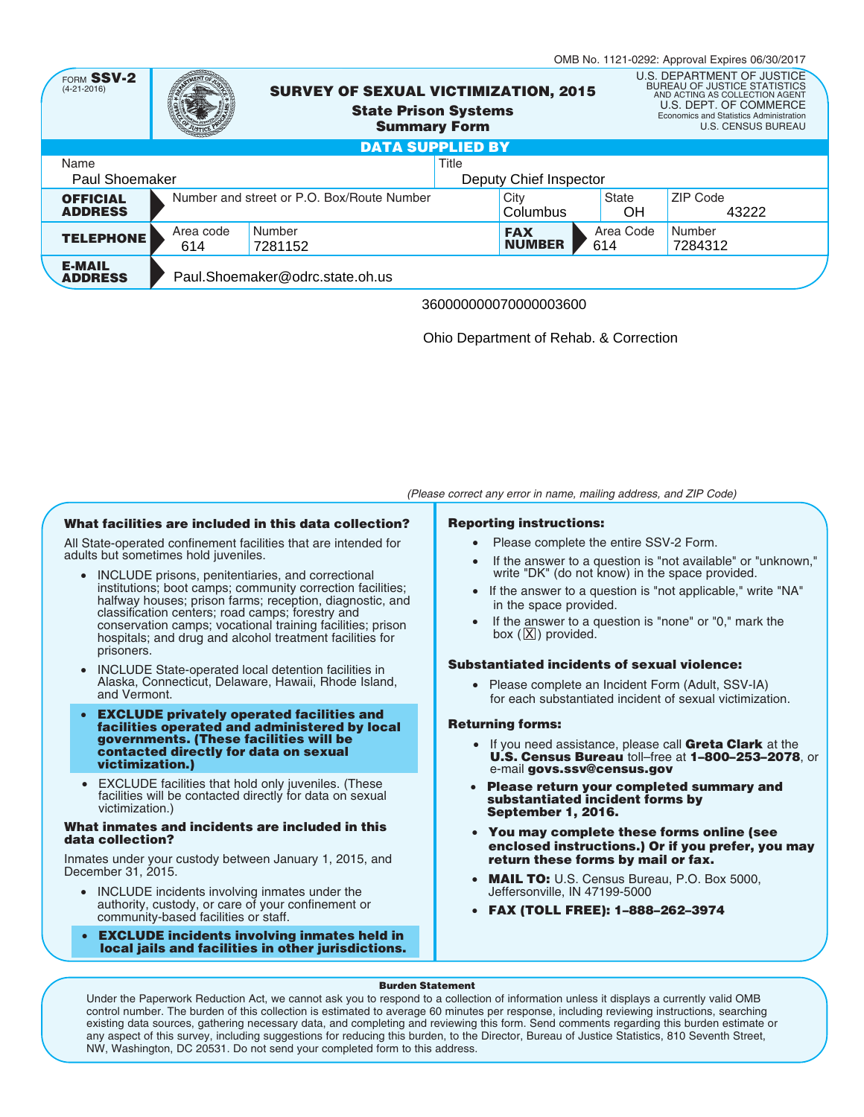|                                                           |                                            |                                                                                                   |                         |                  |                             |                                                                                                                                                                                                       | OMB No. 1121-0292: Approval Expires 06/30/2017 |  |
|-----------------------------------------------------------|--------------------------------------------|---------------------------------------------------------------------------------------------------|-------------------------|------------------|-----------------------------|-------------------------------------------------------------------------------------------------------------------------------------------------------------------------------------------------------|------------------------------------------------|--|
| FORM SSV-2<br>$(4-21-2016)$                               |                                            | <b>SURVEY OF SEXUAL VICTIMIZATION, 2015</b><br><b>State Prison Systems</b><br><b>Summary Form</b> |                         |                  |                             | U.S. DEPARTMENT OF JUSTICE<br><b>BUREAU OF JUSTICE STATISTICS</b><br>AND ACTING AS COLLECTION AGENT<br>U.S. DEPT. OF COMMERCE<br>Economics and Statistics Administration<br><b>U.S. CENSUS BUREAU</b> |                                                |  |
|                                                           |                                            |                                                                                                   | <b>DATA SUPPLIED BY</b> |                  |                             |                                                                                                                                                                                                       |                                                |  |
| Title<br>Name<br>Paul Shoemaker<br>Deputy Chief Inspector |                                            |                                                                                                   |                         |                  |                             |                                                                                                                                                                                                       |                                                |  |
| <b>OFFICIAL</b><br><b>ADDRESS</b>                         | Number and street or P.O. Box/Route Number |                                                                                                   |                         | City<br>Columbus | State<br><b>OH</b>          | ZIP Code<br>43222                                                                                                                                                                                     |                                                |  |
| <b>TELEPHONE</b>                                          | Area code<br>614                           | Number<br>7281152                                                                                 |                         |                  | <b>FAX</b><br><b>NUMBER</b> | Area Code<br>614                                                                                                                                                                                      | Number<br>7284312                              |  |
| <b>E-MAIL</b><br><b>ADDRESS</b>                           | Paul.Shoemaker@odrc.state.oh.us            |                                                                                                   |                         |                  |                             |                                                                                                                                                                                                       |                                                |  |
|                                                           | 360000000070000003600                      |                                                                                                   |                         |                  |                             |                                                                                                                                                                                                       |                                                |  |

Ohio Department of Rehab. & Correction

# **What facilities are included in this data collection?**

All State-operated confinement facilities that are intended for adults but sometimes hold juveniles.

- INCLUDE prisons, penitentiaries, and correctional institutions; boot camps; community correction facilities; halfway houses; prison farms; reception, diagnostic, and classification centers; road camps; forestry and conservation camps; vocational training facilities; prison hospitals; and drug and alcohol treatment facilities for prisoners.
- INCLUDE State-operated local detention facilities in Alaska, Connecticut, Delaware, Hawaii, Rhode Island, and Vermont.
- **EXCLUDE privately operated facilities and facilities operated and administered by local governments. (These facilities will be contacted directly for data on sexual victimization.)**
- EXCLUDE facilities that hold only juveniles. (These facilities will be contacted directly for data on sexual victimization.)

### **What inmates and incidents are included in this data collection?**

Inmates under your custody between January 1, 2015, and December 31, 2015.

- INCLUDE incidents involving inmates under the authority, custody, or care of your confinement or community-based facilities or staff.
- **EXCLUDE incidents involving inmates held in local jails and facilities in other jurisdictions.**

# **Reporting instructions:**

• Please complete the entire SSV-2 Form.

*(Please correct any error in name, mailing address, and ZIP Code)*

- If the answer to a question is "not available" or "unknown," write "DK" (do not know) in the space provided.
- If the answer to a question is "not applicable," write "NA" in the space provided.
- If the answer to a question is "none" or "0," mark the box  $(\underline{X})$  provided.

# **Substantiated incidents of sexual violence:**

• Please complete an Incident Form (Adult, SSV-IA) for each substantiated incident of sexual victimization.

# **Returning forms:**

- If you need assistance, please call **Greta Clark** at the **U.S. Census Bureau** toll–free at **1–800–253–2078**, or e-mail **govs.ssv@census.gov**
- **Please return your completed summary and substantiated incident forms by September 1, 2016.**
- **You may complete these forms online (see enclosed instructions.) Or if you prefer, you may return these forms by mail or fax.**
- **MAIL TO:** U.S. Census Bureau, P.O. Box 5000, Jeffersonville, IN 47199-5000
- **FAX (TOLL FREE): 1–888–262–3974**

#### **Burden Statement**

Under the Paperwork Reduction Act, we cannot ask you to respond to a collection of information unless it displays a currently valid OMB control number. The burden of this collection is estimated to average 60 minutes per response, including reviewing instructions, searching existing data sources, gathering necessary data, and completing and reviewing this form. Send comments regarding this burden estimate or any aspect of this survey, including suggestions for reducing this burden, to the Director, Bureau of Justice Statistics, 810 Seventh Street, NW, Washington, DC 20531. Do not send your completed form to this address.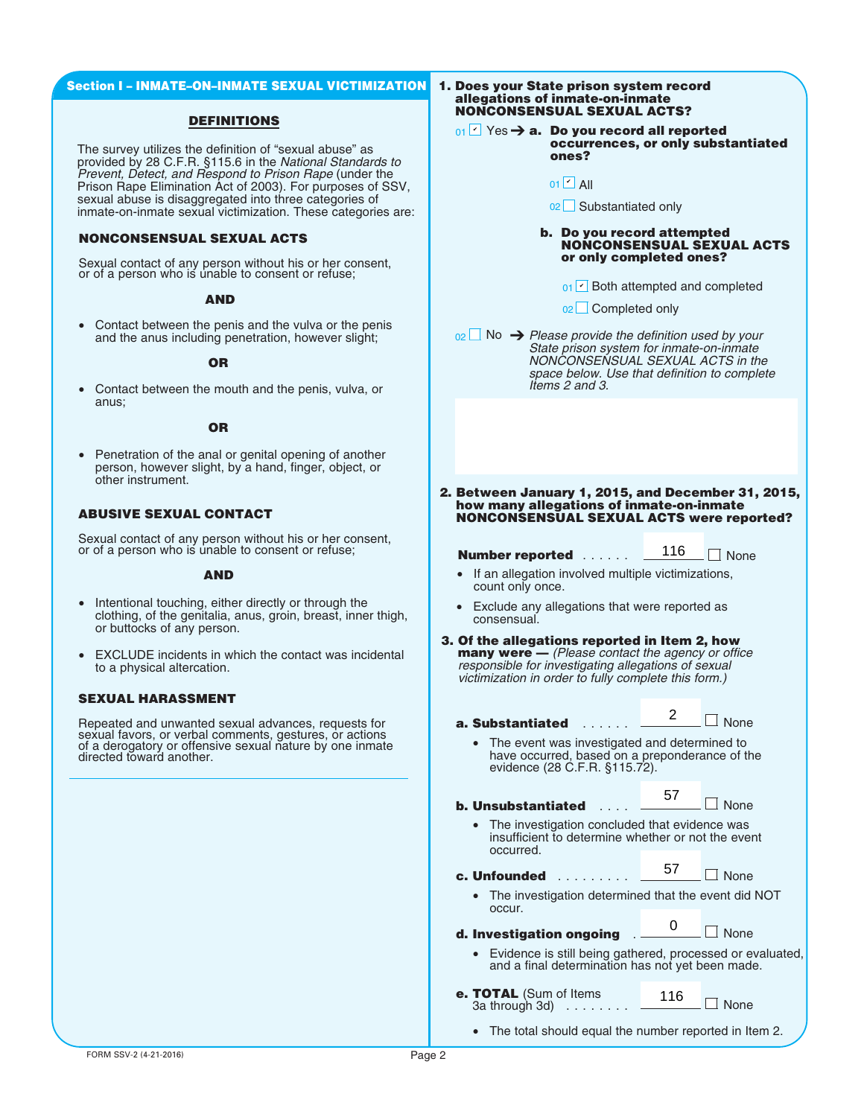# **Section I – INMATE–ON–INMATE SEXUAL VICTIMIZATION**

# **DEFINITIONS**

The survey utilizes the definition of "sexual abuse" as provided by 28 C.F.R. §115.6 in the *National Standards to Prevent, Detect, and Respond to Prison Rape* (under the Prison Rape Elimination Act of 2003). For purposes of SSV, sexual abuse is disaggregated into three categories of inmate-on-inmate sexual victimization. These categories are:

# **NONCONSENSUAL SEXUAL ACTS**

Sexual contact of any person without his or her consent, or of a person who is unable to consent or refuse;

# **AND**

• Contact between the penis and the vulva or the penis and the anus including penetration, however slight;

# **OR**

• Contact between the mouth and the penis, vulva, or anus;

### **OR**

• Penetration of the anal or genital opening of another person, however slight, by a hand, finger, object, or other instrument.

# **ABUSIVE SEXUAL CONTACT**

Sexual contact of any person without his or her consent, or of a person who is unable to consent or refuse;

#### **AND**

- Intentional touching, either directly or through the clothing, of the genitalia, anus, groin, breast, inner thigh, or buttocks of any person.
- EXCLUDE incidents in which the contact was incidental to a physical altercation.

# **SEXUAL HARASSMENT**

Repeated and unwanted sexual advances, requests for sexual favors, or verbal comments, gestures, or actions of a derogatory or offensive sexual nature by one inmate directed toward another.

#### **1. Does your State prison system record allegations of inmate-on-inmate NONCONSENSUAL SEXUAL ACTS?**

- **01**  $\overline{Y}$  Yes → **a.** Do you record all reported **occurrences, or only substantiated ones?**
	- 01 **ビ** All
	- 02 Substantiated only

#### **b. Do you record attempted NONCONSENSUAL SEXUAL ACTS or only completed ones?**

- 02∟ Completed only
- No ➔ *Please provide the definition used by your* 02 *State prison system for inmate-on-inmate NONCONSENSUAL SEXUAL ACTS in the space below. Use that definition to complete Items 2 and 3.*
- **2. Between January 1, 2015, and December 31, 2015, how many allegations of inmate-on-inmate NONCONSENSUAL SEXUAL ACTS were reported?**

- If an allegation involved multiple victimizations, count only once.
- Exclude any allegations that were reported as consensual.
- **3. Of the allegations reported in Item 2, how many were —** *(Please contact the agency or office responsible for investigating allegations of sexual victimization in order to fully complete this form.)*
	- **a. Substantiated** ......  $\Box$  None 2
		- The event was investigated and determined to have occurred, based on a preponderance of the evidence (28 C.F.R. §115.72).

| 01 $\Box$ All                                                                                                                                                                                                        |     |             |  |  |  |
|----------------------------------------------------------------------------------------------------------------------------------------------------------------------------------------------------------------------|-----|-------------|--|--|--|
| 02 Substantiated only                                                                                                                                                                                                |     |             |  |  |  |
| b. Do you record attempted<br><b>NONCONSENSUAL SEXUAL A</b><br>or only completed ones?                                                                                                                               |     |             |  |  |  |
| $_{01}$ $\sim$ Both attempted and completed                                                                                                                                                                          |     |             |  |  |  |
| <sub>02</sub> □ Completed only                                                                                                                                                                                       |     |             |  |  |  |
| $_{02}$ No $\rightarrow$ Please provide the definition used by your<br>State prison system for inmate-on-inmate<br>NONCONSENSUAL SEXUAL ACTS in the<br>space below. Use that definition to comple<br>Items 2 and 3.  |     |             |  |  |  |
|                                                                                                                                                                                                                      |     |             |  |  |  |
| Between January 1, 2015, and December 31, :<br>how many allegations of inmate-on-inmate<br><b>NONCONSENSUAL SEXUAL ACTS were report</b>                                                                              |     |             |  |  |  |
| <b>Number reported</b>                                                                                                                                                                                               | 116 | $\Box$ None |  |  |  |
| If an allegation involved multiple victimizations,<br>$\bullet$<br>count only once.                                                                                                                                  |     |             |  |  |  |
| • Exclude any allegations that were reported as<br>consensual.                                                                                                                                                       |     |             |  |  |  |
| Of the allegations reported in Item 2, how<br><b>many were</b> — (Please contact the agency or office<br>responsible for investigating allegations of sexual<br>victimization in order to fully complete this form.) |     |             |  |  |  |
| a. Substantiated                                                                                                                                                                                                     | 2   | $\Box$ None |  |  |  |
| The event was investigated and determined to<br>have occurred, based on a preponderance of the<br>evidence (28 C.F.R. §115.72).                                                                                      |     |             |  |  |  |
| b. Unsubstantiated                                                                                                                                                                                                   | 57  | $\Box$ None |  |  |  |
| The investigation concluded that evidence was<br>insufficient to determine whether or not the event<br>occurred.                                                                                                     |     |             |  |  |  |
| c. Unfounded                                                                                                                                                                                                         | 57  | None        |  |  |  |
| The investigation determined that the event did N<br>occur.                                                                                                                                                          |     |             |  |  |  |
| d. Investigation ongoing                                                                                                                                                                                             | O   | <b>None</b> |  |  |  |
| Evidence is still being gathered, processed or eva<br>and a final determination has not yet been made.                                                                                                               |     |             |  |  |  |
| e. TOTAL (Sum of Items                                                                                                                                                                                               | 116 |             |  |  |  |

| c. Unfounded |  |  |  |  |  |
|--------------|--|--|--|--|--|
|              |  |  |  |  |  |

• The investigation determined that the event did NOT occur.

| d. Investigation ongoing |  |
|--------------------------|--|
|                          |  |

• Evidence is still being gathered, processed or evaluated, and a final determination has not yet been made.

- **e. TOTAL** (Sum of Items 116  $\Box$  None 3a through 3d) ........
	- The total should equal the number reported in Item 2.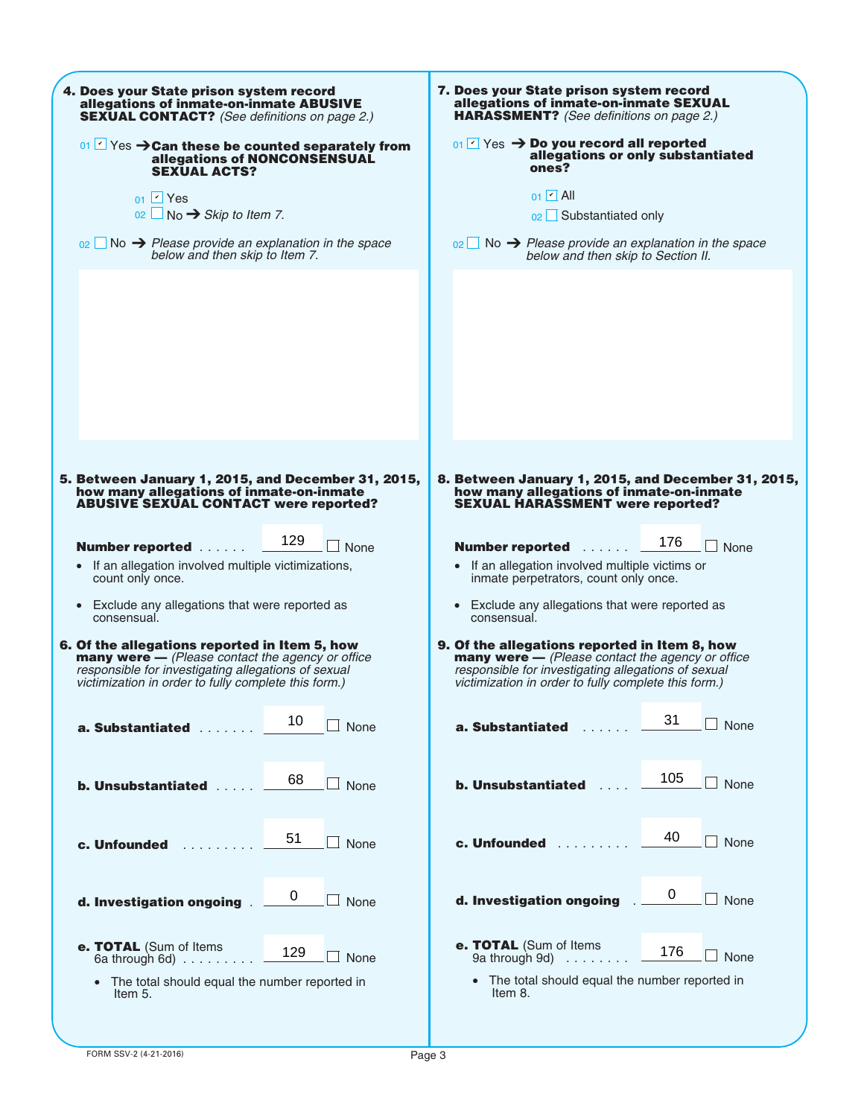| 4. Does your State prison system record                              | 7. Does your State prison system record                             |  |  |  |  |
|----------------------------------------------------------------------|---------------------------------------------------------------------|--|--|--|--|
| allegations of inmate-on-inmate ABUSIVE                              | allegations of inmate-on-inmate SEXUAL                              |  |  |  |  |
| <b>SEXUAL CONTACT?</b> (See definitions on page 2.)                  | <b>HARASSMENT?</b> (See definitions on page 2.)                     |  |  |  |  |
| $\frac{1}{2}$ Yes $\rightarrow$ Can these be counted separately from | $_{01}$ Yes $\rightarrow$ Do you record all reported                |  |  |  |  |
| allegations of NONCONSENSUAL                                         | allegations or only substantiated                                   |  |  |  |  |
| <b>SEXUAL ACTS?</b>                                                  | ones?                                                               |  |  |  |  |
| $01$ Yes                                                             | $01$ $\Box$ All                                                     |  |  |  |  |
| $02 \Box$ No $\rightarrow$ Skip to Item 7.                           | 02 Substantiated only                                               |  |  |  |  |
| $_{02}$ No $\rightarrow$ Please provide an explanation in the space  | $_{02}$ No $\rightarrow$ Please provide an explanation in the space |  |  |  |  |
| below and then skip to Item 7.                                       | below and then skip to Section II.                                  |  |  |  |  |
|                                                                      |                                                                     |  |  |  |  |
| 5. Between January 1, 2015, and December 31, 2015,                   | 8. Between January 1, 2015, and December 31, 2015,                  |  |  |  |  |
| how many allegations of inmate-on-inmate                             | how many allegations of inmate-on-inmate                            |  |  |  |  |
| <b>ABUSIVE SEXUAL CONTACT were reported?</b>                         | <b>SEXUAL HARASSMENT were reported?</b>                             |  |  |  |  |
| 129                                                                  | 176                                                                 |  |  |  |  |
| Number reported                                                      | None                                                                |  |  |  |  |
| None                                                                 | <b>Number reported</b>                                              |  |  |  |  |
| • If an allegation involved multiple victimizations,                 | • If an allegation involved multiple victims or                     |  |  |  |  |
| count only once.                                                     | inmate perpetrators, count only once.                               |  |  |  |  |
| • Exclude any allegations that were reported as                      | • Exclude any allegations that were reported as                     |  |  |  |  |
| consensual.                                                          | consensual.                                                         |  |  |  |  |
| 6. Of the allegations reported in Item 5, how                        | 9. Of the allegations reported in Item 8, how                       |  |  |  |  |
| many were - (Please contact the agency or office                     | many were - (Please contact the agency or office                    |  |  |  |  |
| responsible for investigating allegations of sexual                  | responsible for investigating allegations of sexual                 |  |  |  |  |
| victimization in order to fully complete this form.)                 | victimization in order to fully complete this form.)                |  |  |  |  |
| 10                                                                   | 31                                                                  |  |  |  |  |
| None                                                                 | None                                                                |  |  |  |  |
| a. Substantiated                                                     | a. Substantiated                                                    |  |  |  |  |
| 68                                                                   | 105                                                                 |  |  |  |  |
| <b>b. Unsubstantiated </b>                                           | None                                                                |  |  |  |  |
| $\Box$ None                                                          | <b>b. Unsubstantiated</b>                                           |  |  |  |  |
| 51                                                                   | 40                                                                  |  |  |  |  |
| None                                                                 | $\Box$ None                                                         |  |  |  |  |
| c. Unfounded                                                         | c. Unfounded                                                        |  |  |  |  |
| d. Investigation ongoing.<br>$\Box$ None                             | 0<br>d. Investigation ongoing<br>$\Box$ None                        |  |  |  |  |
| e. TOTAL (Sum of Items                                               | e. TOTAL (Sum of Items                                              |  |  |  |  |
| 129                                                                  | 176                                                                 |  |  |  |  |
| None                                                                 | None                                                                |  |  |  |  |
| 6a through 6d) $\ldots \ldots \ldots$                                | 9a through 9d) $\ldots \ldots$                                      |  |  |  |  |
| • The total should equal the number reported in                      | • The total should equal the number reported in                     |  |  |  |  |
| Item 5.                                                              | Item 8.                                                             |  |  |  |  |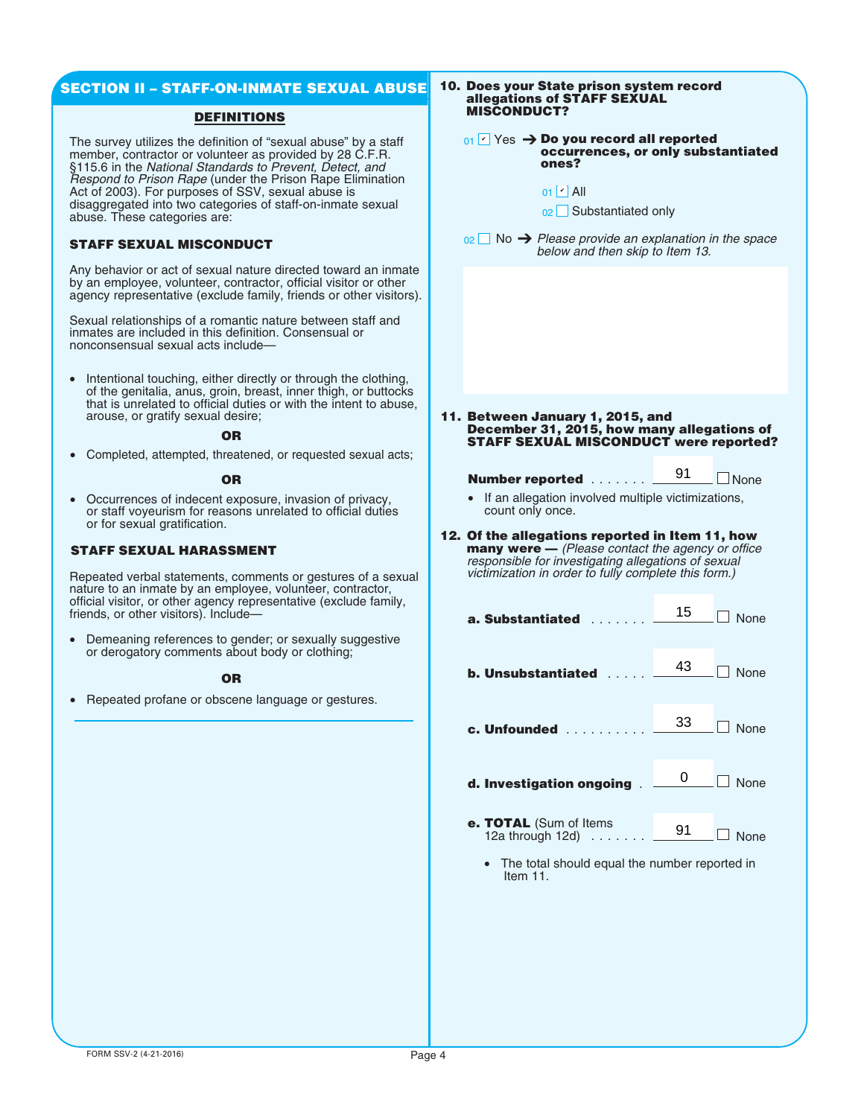# **SECTION II – STAFF-ON-INMATE SEXUAL ABUSE**

# **DEFINITIONS**

The survey utilizes the definition of "sexual abuse" by a staff member, contractor or volunteer as provided by 28 C.F.R. §115.6 in the *National Standards to Prevent, Detect, and Respond to Prison Rape* (under the Prison Rape Elimination Act of 2003). For purposes of SSV, sexual abuse is disaggregated into two categories of staff-on-inmate sexual abuse. These categories are:

# **STAFF SEXUAL MISCONDUCT**

Any behavior or act of sexual nature directed toward an inmate by an employee, volunteer, contractor, official visitor or other agency representative (exclude family, friends or other visitors).

Sexual relationships of a romantic nature between staff and inmates are included in this definition. Consensual or nonconsensual sexual acts include—

• Intentional touching, either directly or through the clothing, of the genitalia, anus, groin, breast, inner thigh, or buttocks that is unrelated to official duties or with the intent to abuse, arouse, or gratify sexual desire;

## **OR**

• Completed, attempted, threatened, or requested sexual acts;

#### **OR**

• Occurrences of indecent exposure, invasion of privacy, or staff voyeurism for reasons unrelated to official duties or for sexual gratification.

# **STAFF SEXUAL HARASSMENT**

Repeated verbal statements, comments or gestures of a sexual nature to an inmate by an employee, volunteer, contractor, official visitor, or other agency representative (exclude family, friends, or other visitors). Include—

• Demeaning references to gender; or sexually suggestive or derogatory comments about body or clothing;

# **OR**

• Repeated profane or obscene language or gestures.

#### **10. Does your State prison system record allegations of STAFF SEXUAL MISCONDUCT?**

**01**  $\blacksquare$  Yes → Do you record all reported **occurrences, or only substantiated ones?**

**11. Between January 1, 2015, and December 31, 2015, how many allegations of STAFF SEXUAL MISCONDUCT were reported?**

# **Number reported** ....... 291 None

**12. Of the allegations reported in Item 11, how many were —** *(Please contact the agency or office responsible for investigating allegations of sexual victimization in order to fully complete this form.)*

| $_{01}$ $\vee$ Yes $\rightarrow$ Do you record all reported<br>occurrences, or only substantiate<br>ones?                                                                                                             |    |                |  |  |  |  |
|-----------------------------------------------------------------------------------------------------------------------------------------------------------------------------------------------------------------------|----|----------------|--|--|--|--|
| $01$ $\sim$ All<br>02 Substantiated only                                                                                                                                                                              |    |                |  |  |  |  |
| $_{02}$ No $\rightarrow$ Please provide an explanation in the space<br>below and then skip to Item 13.                                                                                                                |    |                |  |  |  |  |
|                                                                                                                                                                                                                       |    |                |  |  |  |  |
|                                                                                                                                                                                                                       |    |                |  |  |  |  |
|                                                                                                                                                                                                                       |    |                |  |  |  |  |
|                                                                                                                                                                                                                       |    |                |  |  |  |  |
| Between January 1, 2015, and                                                                                                                                                                                          |    |                |  |  |  |  |
| December 31, 2015, how many allegations of<br>STAFF SEXUAL MISCONDUCT were reported                                                                                                                                   |    |                |  |  |  |  |
| Number reported                                                                                                                                                                                                       | 91 | $\Box$ None    |  |  |  |  |
| If an allegation involved multiple victimizations,<br>$\bullet$<br>count only once.                                                                                                                                   |    |                |  |  |  |  |
| Of the allegations reported in Item 11, how<br><b>many were</b> — (Please contact the agency or office<br>responsible for investigating allegations of sexual<br>victimization in order to fully complete this form.) |    |                |  |  |  |  |
| a. Substantiated                                                                                                                                                                                                      | 15 | None           |  |  |  |  |
| <b>b. Unsubstantiated</b>                                                                                                                                                                                             | 43 | None           |  |  |  |  |
| c. Unfounded                                                                                                                                                                                                          | 33 | $\Box$ None    |  |  |  |  |
| d. Investigation ongoing                                                                                                                                                                                              | 0  | $\Box$ None    |  |  |  |  |
| e. TOTAL (Sum of Items<br>12a through 12d)                                                                                                                                                                            | 91 | $\blacksquare$ |  |  |  |  |

- 12a through 12d) ....... None
	- The total should equal the number reported in Item 11.